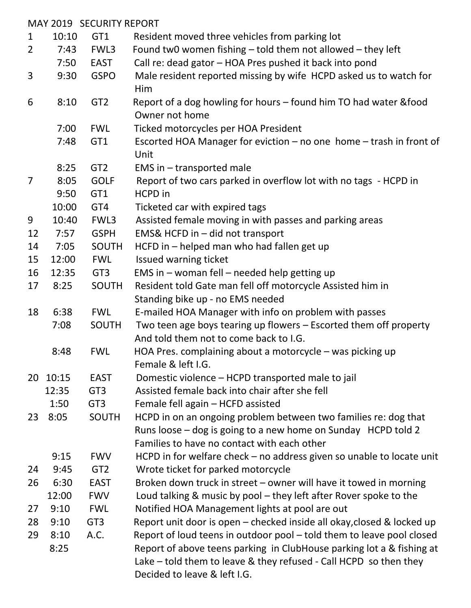|                | MAY 2019 SECURITY REPORT |                 |                                                                        |  |  |  |
|----------------|--------------------------|-----------------|------------------------------------------------------------------------|--|--|--|
| $\mathbf{1}$   | 10:10                    | GT1             | Resident moved three vehicles from parking lot                         |  |  |  |
| $\overline{2}$ | 7:43                     | FWL3            | Found tw0 women fishing - told them not allowed - they left            |  |  |  |
|                | 7:50                     | <b>EAST</b>     | Call re: dead gator - HOA Pres pushed it back into pond                |  |  |  |
| 3              | 9:30                     | <b>GSPO</b>     | Male resident reported missing by wife HCPD asked us to watch for      |  |  |  |
|                |                          |                 | Him                                                                    |  |  |  |
| 6              | 8:10                     | GT <sub>2</sub> | Report of a dog howling for hours - found him TO had water & food      |  |  |  |
|                |                          |                 | Owner not home                                                         |  |  |  |
|                | 7:00                     | <b>FWL</b>      | Ticked motorcycles per HOA President                                   |  |  |  |
|                | 7:48                     | GT1             | Escorted HOA Manager for eviction - no one home - trash in front of    |  |  |  |
|                |                          |                 | Unit                                                                   |  |  |  |
|                | 8:25                     | GT <sub>2</sub> | EMS in - transported male                                              |  |  |  |
| $\overline{7}$ | 8:05                     | <b>GOLF</b>     | Report of two cars parked in overflow lot with no tags - HCPD in       |  |  |  |
|                | 9:50                     | GT1             | HCPD in                                                                |  |  |  |
|                | 10:00                    | GT4             | Ticketed car with expired tags                                         |  |  |  |
| 9              | 10:40                    | FWL3            | Assisted female moving in with passes and parking areas                |  |  |  |
| 12             | 7:57                     | <b>GSPH</b>     | EMS& HCFD in - did not transport                                       |  |  |  |
| 14             | 7:05                     | <b>SOUTH</b>    | HCFD in - helped man who had fallen get up                             |  |  |  |
| 15             | 12:00                    | <b>FWL</b>      | Issued warning ticket                                                  |  |  |  |
| 16             | 12:35                    | GT <sub>3</sub> | EMS in - woman fell - needed help getting up                           |  |  |  |
| 17             | 8:25                     | <b>SOUTH</b>    | Resident told Gate man fell off motorcycle Assisted him in             |  |  |  |
|                |                          |                 | Standing bike up - no EMS needed                                       |  |  |  |
| 18             | 6:38                     | <b>FWL</b>      | E-mailed HOA Manager with info on problem with passes                  |  |  |  |
|                | 7:08                     | SOUTH           | Two teen age boys tearing up flowers - Escorted them off property      |  |  |  |
|                |                          |                 | And told them not to come back to I.G.                                 |  |  |  |
|                | 8:48                     | <b>FWL</b>      | HOA Pres. complaining about a motorcycle $-$ was picking up            |  |  |  |
|                |                          |                 | Female & left I.G.                                                     |  |  |  |
| 20             | 10:15                    | <b>EAST</b>     | Domestic violence – HCPD transported male to jail                      |  |  |  |
|                | 12:35                    | GT <sub>3</sub> | Assisted female back into chair after she fell                         |  |  |  |
|                | 1:50                     | GT <sub>3</sub> | Female fell again - HCFD assisted                                      |  |  |  |
| 23             | 8:05                     | <b>SOUTH</b>    | HCPD in on an ongoing problem between two families re: dog that        |  |  |  |
|                |                          |                 | Runs loose – dog is going to a new home on Sunday HCPD told 2          |  |  |  |
|                |                          |                 | Families to have no contact with each other                            |  |  |  |
|                | 9:15                     | <b>FWV</b>      | HCPD in for welfare check - no address given so unable to locate unit  |  |  |  |
| 24             | 9:45                     | GT <sub>2</sub> | Wrote ticket for parked motorcycle                                     |  |  |  |
| 26             | 6:30                     | <b>EAST</b>     | Broken down truck in street - owner will have it towed in morning      |  |  |  |
|                | 12:00                    | <b>FWV</b>      | Loud talking & music by pool – they left after Rover spoke to the      |  |  |  |
| 27             | 9:10                     | <b>FWL</b>      | Notified HOA Management lights at pool are out                         |  |  |  |
| 28             | 9:10                     | GT <sub>3</sub> | Report unit door is open – checked inside all okay, closed & locked up |  |  |  |
| 29             | 8:10                     | A.C.            | Report of loud teens in outdoor pool - told them to leave pool closed  |  |  |  |
|                | 8:25                     |                 | Report of above teens parking in ClubHouse parking lot a & fishing at  |  |  |  |
|                |                          |                 | Lake $-$ told them to leave & they refused - Call HCPD so then they    |  |  |  |
|                |                          |                 | Decided to leave & left I.G.                                           |  |  |  |